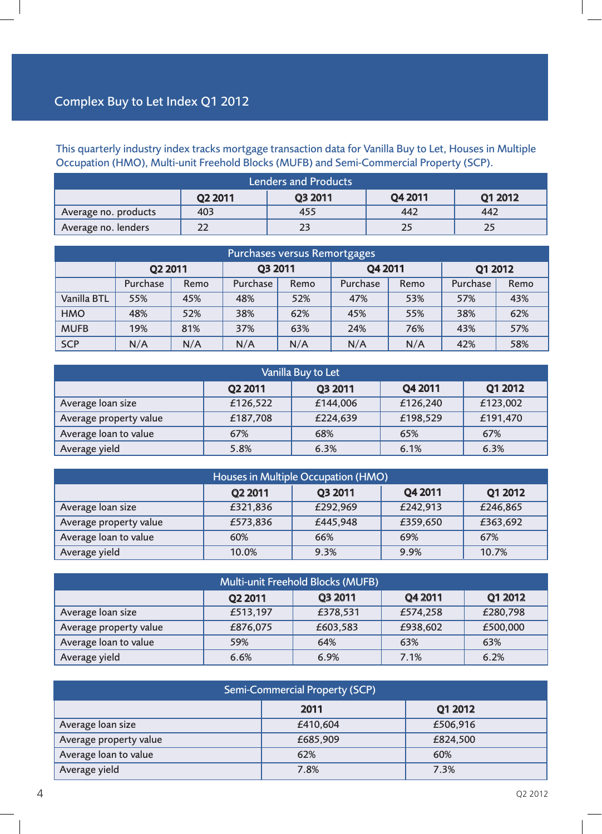## Complex Buy to Let Index Q1 2012

This quarterly industry index tracks mortgage transaction data for Vanilla Buy to Let, Houses in Multiple Occupation (HMO), Multi-unit Freehold Blocks (MUFB) and Semi-Commercial Property (SCP).

| <b>Lenders and Products</b> |         |         |         |         |  |  |
|-----------------------------|---------|---------|---------|---------|--|--|
|                             | Q2 2011 | Q3 2011 | Q4 2011 | Q1 2012 |  |  |
| Average no. products        | 403     | 455     | 442     | 442     |  |  |
| Average no. lenders         |         |         |         | 25      |  |  |

| Purchases versus Remortgages |          |      |          |      |          |      |          |      |
|------------------------------|----------|------|----------|------|----------|------|----------|------|
|                              | Q2 2011  |      | Q3 2011  |      | Q4 2011  |      | Q1 2012  |      |
|                              | Purchase | Remo | Purchase | Remo | Purchase | Remo | Purchase | Remo |
| Vanilla BTL                  | 55%      | 45%  | 48%      | 52%  | 47%      | 53%  | 57%      | 43%  |
| <b>HMO</b>                   | 48%      | 52%  | 38%      | 62%  | 45%      | 55%  | 38%      | 62%  |
| <b>MUFB</b>                  | 19%      | 81%  | 37%      | 63%  | 24%      | 76%  | 43%      | 57%  |
| <b>SCP</b>                   | N/A      | N/A  | N/A      | N/A  | N/A      | N/A  | 42%      | 58%  |

| Vanilla Buy to Let     |          |          |          |          |  |  |
|------------------------|----------|----------|----------|----------|--|--|
|                        | Q2 2011  | Q3 2011  | Q4 2011  | Q1 2012  |  |  |
| Average loan size      | £126,522 | £144,006 | £126,240 | £123,002 |  |  |
| Average property value | £187,708 | £224,639 | £198,529 | £191,470 |  |  |
| Average loan to value  | 67%      | 68%      | 65%      | 67%      |  |  |
| Average yield          | 5.8%     | 6.3%     | 6.1%     | 6.3%     |  |  |

| Houses in Multiple Occupation (HMO) |          |          |          |          |  |
|-------------------------------------|----------|----------|----------|----------|--|
|                                     | Q2 2011  | Q3 2011  | Q4 2011  | Q1 2012  |  |
| Average loan size                   | £321,836 | £292,969 | £242,913 | £246,865 |  |
| Average property value              | £573,836 | £445,948 | £359,650 | £363,692 |  |
| Average loan to value               | 60%      | 66%      | 69%      | 67%      |  |
| Average yield                       | 10.0%    | 9.3%     | 9.9%     | 10.7%    |  |

| <b>Multi-unit Freehold Blocks (MUFB)</b> |          |          |          |          |  |
|------------------------------------------|----------|----------|----------|----------|--|
|                                          | Q2 2011  | Q3 2011  | Q4 2011  | Q1 2012  |  |
| Average loan size                        | £513,197 | £378,531 | £574,258 | £280,798 |  |
| Average property value                   | £876,075 | £603,583 | £938,602 | £500,000 |  |
| Average loan to value                    | 59%      | 64%      | 63%      | 63%      |  |
| Average yield                            | 6.6%     | 6.9%     | 7.1%     | 6.2%     |  |

| Semi-Commercial Property (SCP) |          |          |  |  |  |
|--------------------------------|----------|----------|--|--|--|
| 2011<br>Q1 2012                |          |          |  |  |  |
| Average loan size              | £410,604 | £506,916 |  |  |  |
| Average property value         | £685,909 | £824,500 |  |  |  |
| Average loan to value          | 62%      | 60%      |  |  |  |
| Average yield                  | 7.8%     | 7.3%     |  |  |  |